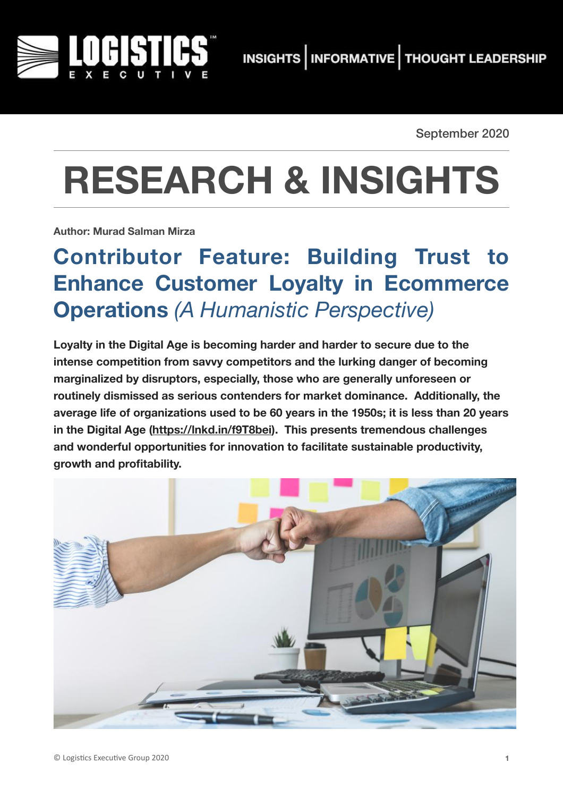

September 2020

# **RESEARCH & INSIGHTS**

**Author: Murad Salman Mirza**

## **Contributor Feature: Building Trust to Enhance Customer Loyalty in Ecommerce Operations** *(A Humanistic Perspective)*

**Loyalty in the Digital Age is becoming harder and harder to secure due to the intense competition from savvy competitors and the lurking danger of becoming marginalized by disruptors, especially, those who are generally unforeseen or routinely dismissed as serious contenders for market dominance. Additionally, the average life of organizations used to be 60 years in the 1950s; it is less than 20 years in the Digital Age [\(https://lnkd.in/f9T8bei](https://lnkd.in/f9T8bei)). This presents tremendous challenges and wonderful opportunities for innovation to facilitate sustainable productivity, growth and profitability.** 

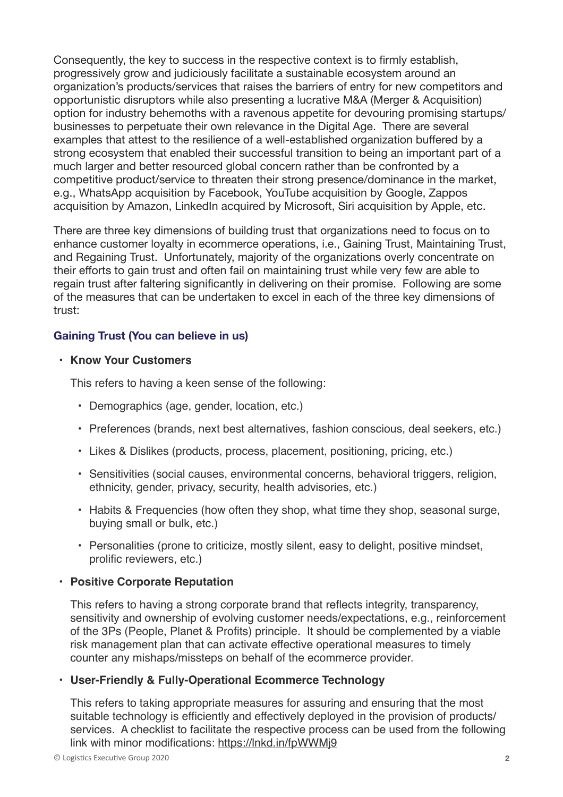Consequently, the key to success in the respective context is to firmly establish, progressively grow and judiciously facilitate a sustainable ecosystem around an organization's products/services that raises the barriers of entry for new competitors and opportunistic disruptors while also presenting a lucrative M&A (Merger & Acquisition) option for industry behemoths with a ravenous appetite for devouring promising startups/ businesses to perpetuate their own relevance in the Digital Age. There are several examples that attest to the resilience of a well-established organization buffered by a strong ecosystem that enabled their successful transition to being an important part of a much larger and better resourced global concern rather than be confronted by a competitive product/service to threaten their strong presence/dominance in the market, e.g., WhatsApp acquisition by Facebook, YouTube acquisition by Google, Zappos acquisition by Amazon, LinkedIn acquired by Microsoft, Siri acquisition by Apple, etc.

There are three key dimensions of building trust that organizations need to focus on to enhance customer loyalty in ecommerce operations, i.e., Gaining Trust, Maintaining Trust, and Regaining Trust. Unfortunately, majority of the organizations overly concentrate on their efforts to gain trust and often fail on maintaining trust while very few are able to regain trust after faltering significantly in delivering on their promise. Following are some of the measures that can be undertaken to excel in each of the three key dimensions of trust:

#### **Gaining Trust (You can believe in us)**

#### • **Know Your Customers**

This refers to having a keen sense of the following:

- Demographics (age, gender, location, etc.)
- Preferences (brands, next best alternatives, fashion conscious, deal seekers, etc.)
- Likes & Dislikes (products, process, placement, positioning, pricing, etc.)
- Sensitivities (social causes, environmental concerns, behavioral triggers, religion, ethnicity, gender, privacy, security, health advisories, etc.)
- Habits & Frequencies (how often they shop, what time they shop, seasonal surge, buying small or bulk, etc.)
- Personalities (prone to criticize, mostly silent, easy to delight, positive mindset, prolific reviewers, etc.)

#### **• Positive Corporate Reputation**

This refers to having a strong corporate brand that reflects integrity, transparency, sensitivity and ownership of evolving customer needs/expectations, e.g., reinforcement of the 3Ps (People, Planet & Profits) principle. It should be complemented by a viable risk management plan that can activate effective operational measures to timely counter any mishaps/missteps on behalf of the ecommerce provider.

#### **• User-Friendly & Fully-Operational Ecommerce Technology**

This refers to taking appropriate measures for assuring and ensuring that the most suitable technology is efficiently and effectively deployed in the provision of products/ services. A checklist to facilitate the respective process can be used from the following link with minor modifications:<https://lnkd.in/fpWWMj9>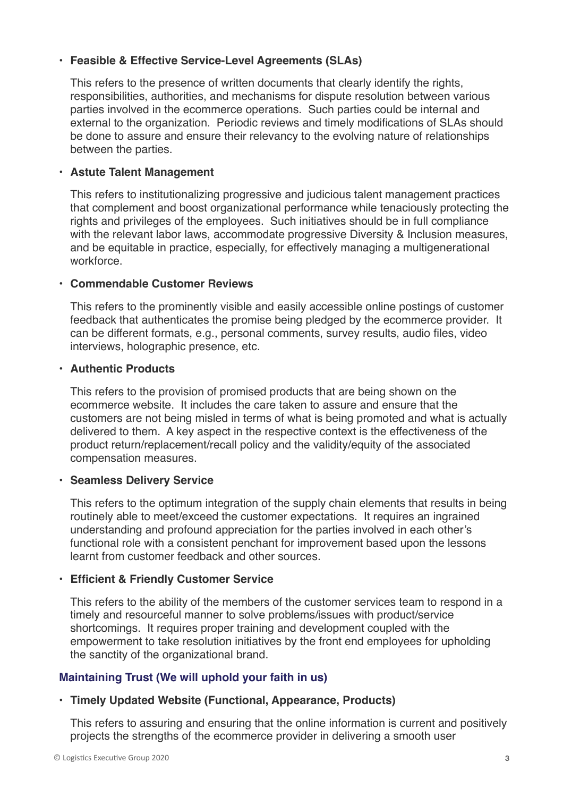#### **• Feasible & Effective Service-Level Agreements (SLAs)**

This refers to the presence of written documents that clearly identify the rights, responsibilities, authorities, and mechanisms for dispute resolution between various parties involved in the ecommerce operations. Such parties could be internal and external to the organization. Periodic reviews and timely modifications of SLAs should be done to assure and ensure their relevancy to the evolving nature of relationships between the parties.

#### **• Astute Talent Management**

This refers to institutionalizing progressive and judicious talent management practices that complement and boost organizational performance while tenaciously protecting the rights and privileges of the employees. Such initiatives should be in full compliance with the relevant labor laws, accommodate progressive Diversity & Inclusion measures, and be equitable in practice, especially, for effectively managing a multigenerational workforce.

#### **• Commendable Customer Reviews**

This refers to the prominently visible and easily accessible online postings of customer feedback that authenticates the promise being pledged by the ecommerce provider. It can be different formats, e.g., personal comments, survey results, audio files, video interviews, holographic presence, etc.

#### **• Authentic Products**

This refers to the provision of promised products that are being shown on the ecommerce website. It includes the care taken to assure and ensure that the customers are not being misled in terms of what is being promoted and what is actually delivered to them. A key aspect in the respective context is the effectiveness of the product return/replacement/recall policy and the validity/equity of the associated compensation measures.

#### **• Seamless Delivery Service**

This refers to the optimum integration of the supply chain elements that results in being routinely able to meet/exceed the customer expectations. It requires an ingrained understanding and profound appreciation for the parties involved in each other's functional role with a consistent penchant for improvement based upon the lessons learnt from customer feedback and other sources.

#### **• Efficient & Friendly Customer Service**

This refers to the ability of the members of the customer services team to respond in a timely and resourceful manner to solve problems/issues with product/service shortcomings. It requires proper training and development coupled with the empowerment to take resolution initiatives by the front end employees for upholding the sanctity of the organizational brand.

#### **Maintaining Trust (We will uphold your faith in us)**

#### **• Timely Updated Website (Functional, Appearance, Products)**

This refers to assuring and ensuring that the online information is current and positively projects the strengths of the ecommerce provider in delivering a smooth user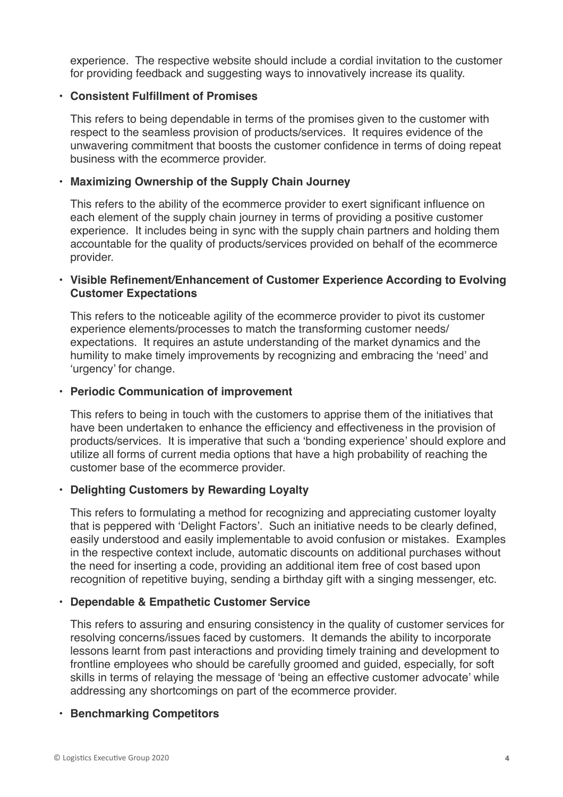experience. The respective website should include a cordial invitation to the customer for providing feedback and suggesting ways to innovatively increase its quality.

#### **• Consistent Fulfillment of Promises**

This refers to being dependable in terms of the promises given to the customer with respect to the seamless provision of products/services. It requires evidence of the unwavering commitment that boosts the customer confidence in terms of doing repeat business with the ecommerce provider.

#### **• Maximizing Ownership of the Supply Chain Journey**

This refers to the ability of the ecommerce provider to exert significant influence on each element of the supply chain journey in terms of providing a positive customer experience. It includes being in sync with the supply chain partners and holding them accountable for the quality of products/services provided on behalf of the ecommerce provider.

#### **• Visible Refinement/Enhancement of Customer Experience According to Evolving Customer Expectations**

This refers to the noticeable agility of the ecommerce provider to pivot its customer experience elements/processes to match the transforming customer needs/ expectations. It requires an astute understanding of the market dynamics and the humility to make timely improvements by recognizing and embracing the 'need' and 'urgency' for change.

#### **• Periodic Communication of improvement**

This refers to being in touch with the customers to apprise them of the initiatives that have been undertaken to enhance the efficiency and effectiveness in the provision of products/services. It is imperative that such a 'bonding experience' should explore and utilize all forms of current media options that have a high probability of reaching the customer base of the ecommerce provider.

#### **• Delighting Customers by Rewarding Loyalty**

This refers to formulating a method for recognizing and appreciating customer loyalty that is peppered with 'Delight Factors'. Such an initiative needs to be clearly defined, easily understood and easily implementable to avoid confusion or mistakes. Examples in the respective context include, automatic discounts on additional purchases without the need for inserting a code, providing an additional item free of cost based upon recognition of repetitive buying, sending a birthday gift with a singing messenger, etc.

#### **• Dependable & Empathetic Customer Service**

This refers to assuring and ensuring consistency in the quality of customer services for resolving concerns/issues faced by customers. It demands the ability to incorporate lessons learnt from past interactions and providing timely training and development to frontline employees who should be carefully groomed and guided, especially, for soft skills in terms of relaying the message of 'being an effective customer advocate' while addressing any shortcomings on part of the ecommerce provider.

#### **• Benchmarking Competitors**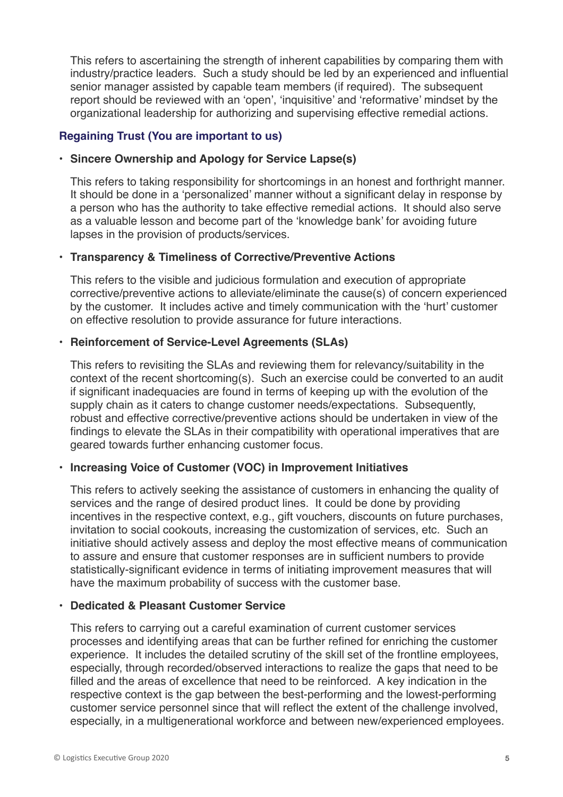This refers to ascertaining the strength of inherent capabilities by comparing them with industry/practice leaders. Such a study should be led by an experienced and influential senior manager assisted by capable team members (if required). The subsequent report should be reviewed with an 'open', 'inquisitive' and 'reformative' mindset by the organizational leadership for authorizing and supervising effective remedial actions.

#### **Regaining Trust (You are important to us)**

#### **• Sincere Ownership and Apology for Service Lapse(s)**

This refers to taking responsibility for shortcomings in an honest and forthright manner. It should be done in a 'personalized' manner without a significant delay in response by a person who has the authority to take effective remedial actions. It should also serve as a valuable lesson and become part of the 'knowledge bank' for avoiding future lapses in the provision of products/services.

#### **• Transparency & Timeliness of Corrective/Preventive Actions**

This refers to the visible and judicious formulation and execution of appropriate corrective/preventive actions to alleviate/eliminate the cause(s) of concern experienced by the customer. It includes active and timely communication with the 'hurt' customer on effective resolution to provide assurance for future interactions.

#### **• Reinforcement of Service-Level Agreements (SLAs)**

This refers to revisiting the SLAs and reviewing them for relevancy/suitability in the context of the recent shortcoming(s). Such an exercise could be converted to an audit if significant inadequacies are found in terms of keeping up with the evolution of the supply chain as it caters to change customer needs/expectations. Subsequently, robust and effective corrective/preventive actions should be undertaken in view of the findings to elevate the SLAs in their compatibility with operational imperatives that are geared towards further enhancing customer focus.

#### **• Increasing Voice of Customer (VOC) in Improvement Initiatives**

This refers to actively seeking the assistance of customers in enhancing the quality of services and the range of desired product lines. It could be done by providing incentives in the respective context, e.g., gift vouchers, discounts on future purchases, invitation to social cookouts, increasing the customization of services, etc. Such an initiative should actively assess and deploy the most effective means of communication to assure and ensure that customer responses are in sufficient numbers to provide statistically-significant evidence in terms of initiating improvement measures that will have the maximum probability of success with the customer base.

#### **• Dedicated & Pleasant Customer Service**

This refers to carrying out a careful examination of current customer services processes and identifying areas that can be further refined for enriching the customer experience. It includes the detailed scrutiny of the skill set of the frontline employees, especially, through recorded/observed interactions to realize the gaps that need to be filled and the areas of excellence that need to be reinforced. A key indication in the respective context is the gap between the best-performing and the lowest-performing customer service personnel since that will reflect the extent of the challenge involved, especially, in a multigenerational workforce and between new/experienced employees.